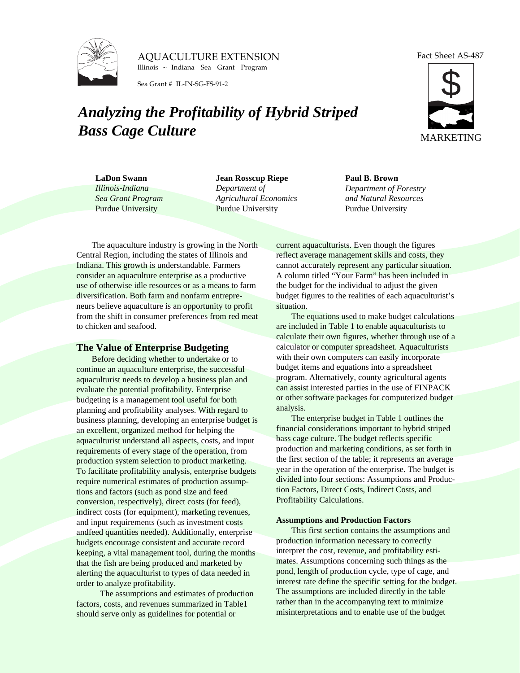

AQUACULTURE EXTENSION Illinois ~ Indiana Sea Grant Program

Sea Grant # IL-IN-SG-FS-91-2

# *Analyzing the Profitability of Hybrid Striped Bass Cage Culture*

Fact Sheet AS-487



**LaDon Swann** *Illinois-Indiana Sea Grant Program* Purdue University

**Jean Rosscup Riepe** *Department of Agricultural Economics* Purdue University

### **Paul B. Brown** *Department of Forestry and Natural Resources* Purdue University

The aquaculture industry is growing in the North Central Region, including the states of Illinois and Indiana. This growth is understandable. Farmers consider an aquaculture enterprise as a productive use of otherwise idle resources or as a means to farm diversification. Both farm and nonfarm entrepreneurs believe aquaculture is an opportunity to profit from the shift in consumer preferences from red meat to chicken and seafood.

## **The Value of Enterprise Budgeting**

Before deciding whether to undertake or to continue an aquaculture enterprise, the successful aquaculturist needs to develop a business plan and evaluate the potential profitability. Enterprise budgeting is a management tool useful for both planning and profitability analyses. With regard to business planning, developing an enterprise budget is an excellent, organized method for helping the aquaculturist understand all aspects, costs, and input requirements of every stage of the operation, from production system selection to product marketing. To facilitate profitability analysis, enterprise budgets require numerical estimates of production assumptions and factors (such as pond size and feed conversion, respectively), direct costs (for feed), indirect costs (for equipment), marketing revenues, and input requirements (such as investment costs andfeed quantities needed). Additionally, enterprise budgets encourage consistent and accurate record keeping, a vital management tool, during the months that the fish are being produced and marketed by alerting the aquaculturist to types of data needed in order to analyze profitability.

 The assumptions and estimates of production factors, costs, and revenues summarized in Table1 should serve only as guidelines for potential or

current aquaculturists. Even though the figures reflect average management skills and costs, they cannot accurately represent any particular situation. A column titled "Your Farm" has been included in the budget for the individual to adjust the given budget figures to the realities of each aquaculturist's situation.

The equations used to make budget calculations are included in Table 1 to enable aquaculturists to calculate their own figures, whether through use of a calculator or computer spreadsheet. Aquaculturists with their own computers can easily incorporate budget items and equations into a spreadsheet program. Alternatively, county agricultural agents can assist interested parties in the use of FINPACK or other software packages for computerized budget analysis.

The enterprise budget in Table 1 outlines the financial considerations important to hybrid striped bass cage culture. The budget reflects specific production and marketing conditions, as set forth in the first section of the table; it represents an average year in the operation of the enterprise. The budget is divided into four sections: Assumptions and Production Factors, Direct Costs, Indirect Costs, and Profitability Calculations.

#### **Assumptions and Production Factors**

This first section contains the assumptions and production information necessary to correctly interpret the cost, revenue, and profitability estimates. Assumptions concerning such things as the pond, length of production cycle, type of cage, and interest rate define the specific setting for the budget. The assumptions are included directly in the table rather than in the accompanying text to minimize misinterpretations and to enable use of the budget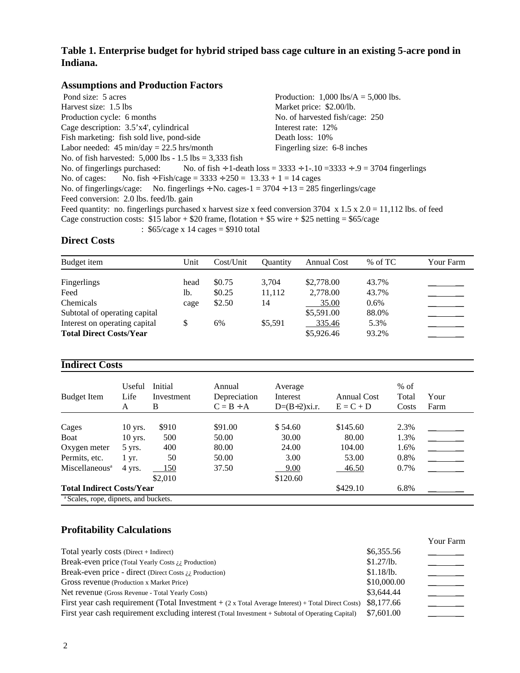# **Table 1. Enterprise budget for hybrid striped bass cage culture in an existing 5-acre pond in Indiana.**

## **Assumptions and Production Factors**

Pond size: 5 acres Production: 1,000 lbs/A = 5,000 lbs. Harvest size: 1.5 lbs Market price: \$2.00/lb. Production cycle: 6 months No. of harvested fish/cage: 250 Cage description:  $3.5'x4'$ , cylindrical Interest rate:  $12\%$ Fish marketing: fish sold live, pond-side Death loss: 10% Labor needed:  $45 \text{ min/day} = 22.5 \text{ hrs/month}$  Fingerling size:  $6-8 \text{ inches}$ No. of fish harvested:  $5,000$  lbs - 1.5 lbs = 3,333 fish<br>No. of fingerlings purchased: No. of fish ÷ 1-de. No. of fish ÷ 1-death loss =  $3333 \div 1 - .10 = 3333 \div .9 = 3704$  fingerlings No. of cages: No. fish ÷ Fish/cage =  $3333 \div 250 = 13.33 + 1 = 14$  cages No. of fingerlings/cage: No. fingerlings  $\div$  No. cages-1 = 3704  $\div$  13 = 285 fingerlings/cage Feed conversion: 2.0 lbs. feed/lb. gain Feed quantity: no. fingerlings purchased x harvest size x feed conversion 3704 x 1.5 x 2.0 = 11,112 lbs. of feed Cage construction costs:  $$15$  labor +  $$20$  frame, flotation +  $$5$  wire +  $$25$  netting =  $$65/cage$ 

:  $$65/cage \times 14 cages = $910 total$ 

# **Direct Costs**

| Budget item                    | Unit | Cost/Unit | <b>Ouantity</b> | <b>Annual Cost</b> | $%$ of TC | Your Farm |
|--------------------------------|------|-----------|-----------------|--------------------|-----------|-----------|
| Fingerlings                    | head | \$0.75    | 3.704           | \$2,778.00         | 43.7%     |           |
| Feed                           | lb.  | \$0.25    | 11.112          | 2,778.00           | 43.7%     |           |
| Chemicals                      | cage | \$2.50    | 14              | 35.00              | $0.6\%$   |           |
| Subtotal of operating capital  |      |           |                 | \$5,591.00         | 88.0%     |           |
| Interest on operating capital  |      | 6%        | \$5.591         | 335.46             | 5.3%      |           |
| <b>Total Direct Costs/Year</b> |      |           |                 | \$5,926.46         | 93.2%     |           |

## **Indirect Costs**

| <b>Budget Item</b>                                   | Useful<br>Life<br>A | Initial<br>Investment<br>B | Annual<br>Depreciation<br>$C = B \div A$ | Average<br>Interest<br>$D=(B+2)x$ i.r. | Annual Cost<br>$E = C + D$ | $%$ of<br>Total<br>Costs | Your<br>Farm |
|------------------------------------------------------|---------------------|----------------------------|------------------------------------------|----------------------------------------|----------------------------|--------------------------|--------------|
|                                                      |                     |                            |                                          |                                        |                            |                          |              |
| Cages                                                | $10$ yrs.           | \$910                      | \$91.00                                  | \$54.60                                | \$145.60                   | 2.3%                     |              |
| Boat                                                 | $10$ yrs.           | 500                        | 50.00                                    | 30.00                                  | 80.00                      | 1.3%                     |              |
| Oxygen meter                                         | $5$ yrs.            | 400                        | 80.00                                    | 24.00                                  | 104.00                     | 1.6%                     |              |
| Permits, etc.                                        | $1 \, yr.$          | 50                         | 50.00                                    | 3.00                                   | 53.00                      | 0.8%                     |              |
| Miscellaneous <sup>a</sup>                           | 4 yrs.              | 150                        | 37.50                                    | 9.00                                   | 46.50                      | 0.7%                     |              |
|                                                      |                     | \$2,010                    |                                          | \$120.60                               |                            |                          |              |
| <b>Total Indirect Costs/Year</b><br>\$429.10<br>6.8% |                     |                            |                                          |                                        |                            |                          |              |
| <sup>a</sup> Scales, rope, dipnets, and buckets.     |                     |                            |                                          |                                        |                            |                          |              |

# **Profitability Calculations**

|                                                                                                            |             | <b>Your Farm</b> |
|------------------------------------------------------------------------------------------------------------|-------------|------------------|
| Total yearly costs (Direct + Indirect)                                                                     | \$6,355.56  |                  |
| Break-even price (Total Yearly Costs $\lambda$ ), Production)                                              | \$1.27/b.   |                  |
| Break-even price - direct (Direct Costs $\lambda_{i,j}$ Production)                                        | \$1.18/b.   |                  |
| Gross revenue (Production x Market Price)                                                                  | \$10,000.00 |                  |
| Net revenue (Gross Revenue - Total Yearly Costs)                                                           | \$3,644.44  |                  |
| First year cash requirement (Total Investment $+(2 \times Total Average Interest) + Total Direct Costs)$ ) | \$8,177.66  |                  |
| First year cash requirement excluding interest (Total Investment + Subtotal of Operating Capital)          | \$7,601.00  |                  |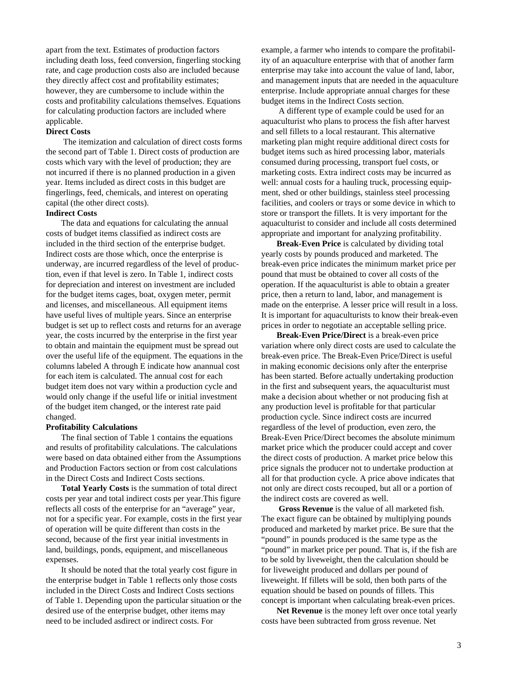apart from the text. Estimates of production factors including death loss, feed conversion, fingerling stocking rate, and cage production costs also are included because they directly affect cost and profitability estimates; however, they are cumbersome to include within the costs and profitability calculations themselves. Equations for calculating production factors are included where applicable.

#### **Direct Costs**

 The itemization and calculation of direct costs forms the second part of Table 1. Direct costs of production are costs which vary with the level of production; they are not incurred if there is no planned production in a given year. Items included as direct costs in this budget are fingerlings, feed, chemicals, and interest on operating capital (the other direct costs).

#### **Indirect Costs**

The data and equations for calculating the annual costs of budget items classified as indirect costs are included in the third section of the enterprise budget. Indirect costs are those which, once the enterprise is underway, are incurred regardless of the level of production, even if that level is zero. In Table 1, indirect costs for depreciation and interest on investment are included for the budget items cages, boat, oxygen meter, permit and licenses, and miscellaneous. All equipment items have useful lives of multiple years. Since an enterprise budget is set up to reflect costs and returns for an average year, the costs incurred by the enterprise in the first year to obtain and maintain the equipment must be spread out over the useful life of the equipment. The equations in the columns labeled A through E indicate how anannual cost for each item is calculated. The annual cost for each budget item does not vary within a production cycle and would only change if the useful life or initial investment of the budget item changed, or the interest rate paid changed.

#### **Profitability Calculations**

The final section of Table 1 contains the equations and results of profitability calculations. The calculations were based on data obtained either from the Assumptions and Production Factors section or from cost calculations in the Direct Costs and Indirect Costs sections.

**Total Yearly Costs** is the summation of total direct costs per year and total indirect costs per year.This figure reflects all costs of the enterprise for an "average" year, not for a specific year. For example, costs in the first year of operation will be quite different than costs in the second, because of the first year initial investments in land, buildings, ponds, equipment, and miscellaneous expenses.

It should be noted that the total yearly cost figure in the enterprise budget in Table 1 reflects only those costs included in the Direct Costs and Indirect Costs sections of Table 1. Depending upon the particular situation or the desired use of the enterprise budget, other items may need to be included asdirect or indirect costs. For

example, a farmer who intends to compare the profitability of an aquaculture enterprise with that of another farm enterprise may take into account the value of land, labor, and management inputs that are needed in the aquaculture enterprise. Include appropriate annual charges for these budget items in the Indirect Costs section.

 A different type of example could be used for an aquaculturist who plans to process the fish after harvest and sell fillets to a local restaurant. This alternative marketing plan might require additional direct costs for budget items such as hired processing labor, materials consumed during processing, transport fuel costs, or marketing costs. Extra indirect costs may be incurred as well: annual costs for a hauling truck, processing equipment, shed or other buildings, stainless steel processing facilities, and coolers or trays or some device in which to store or transport the fillets. It is very important for the aquaculturist to consider and include all costs determined appropriate and important for analyzing profitability.

**Break-Even Price** is calculated by dividing total yearly costs by pounds produced and marketed. The break-even price indicates the minimum market price per pound that must be obtained to cover all costs of the operation. If the aquaculturist is able to obtain a greater price, then a return to land, labor, and management is made on the enterprise. A lesser price will result in a loss. It is important for aquaculturists to know their break-even prices in order to negotiate an acceptable selling price.

**Break-Even Price/Direct** is a break-even price variation where only direct costs are used to calculate the break-even price. The Break-Even Price/Direct is useful in making economic decisions only after the enterprise has been started. Before actually undertaking production in the first and subsequent years, the aquaculturist must make a decision about whether or not producing fish at any production level is profitable for that particular production cycle. Since indirect costs are incurred regardless of the level of production, even zero, the Break-Even Price/Direct becomes the absolute minimum market price which the producer could accept and cover the direct costs of production. A market price below this price signals the producer not to undertake production at all for that production cycle. A price above indicates that not only are direct costs recouped, but all or a portion of the indirect costs are covered as well.

 **Gross Revenue** is the value of all marketed fish. The exact figure can be obtained by multiplying pounds produced and marketed by market price. Be sure that the "pound" in pounds produced is the same type as the "pound" in market price per pound. That is, if the fish are to be sold by liveweight, then the calculation should be for liveweight produced and dollars per pound of liveweight. If fillets will be sold, then both parts of the equation should be based on pounds of fillets. This concept is important when calculating break-even prices.

**Net Revenue** is the money left over once total yearly costs have been subtracted from gross revenue. Net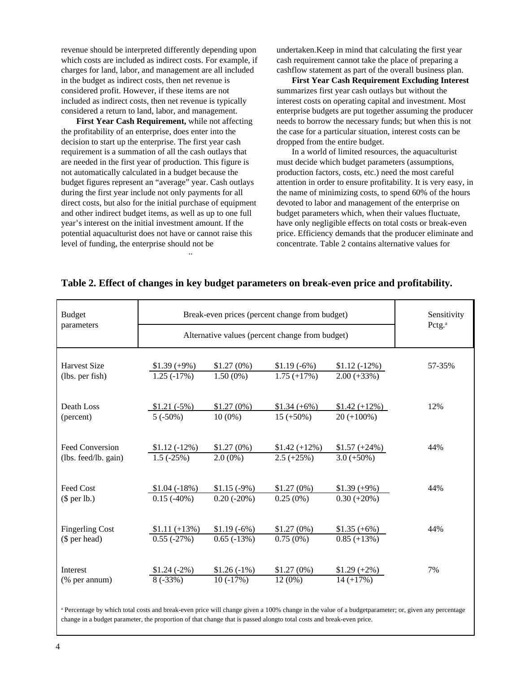revenue should be interpreted differently depending upon which costs are included as indirect costs. For example, if charges for land, labor, and management are all included in the budget as indirect costs, then net revenue is considered profit. However, if these items are not included as indirect costs, then net revenue is typically considered a return to land, labor, and management.

 .. **First Year Cash Requirement,** while not affecting the profitability of an enterprise, does enter into the decision to start up the enterprise. The first year cash requirement is a summation of all the cash outlays that are needed in the first year of production. This figure is not automatically calculated in a budget because the budget figures represent an "average" year. Cash outlays during the first year include not only payments for all direct costs, but also for the initial purchase of equipment and other indirect budget items, as well as up to one full year's interest on the initial investment amount. If the potential aquaculturist does not have or cannot raise this level of funding, the enterprise should not be

undertaken.Keep in mind that calculating the first year cash requirement cannot take the place of preparing a cashflow statement as part of the overall business plan.

**First Year Cash Requirement Excluding Interest** summarizes first year cash outlays but without the interest costs on operating capital and investment. Most enterprise budgets are put together assuming the producer needs to borrow the necessary funds; but when this is not the case for a particular situation, interest costs can be dropped from the entire budget.

In a world of limited resources, the aquaculturist must decide which budget parameters (assumptions, production factors, costs, etc.) need the most careful attention in order to ensure profitability. It is very easy, in the name of minimizing costs, to spend 60% of the hours devoted to labor and management of the enterprise on budget parameters which, when their values fluctuate, have only negligible effects on total costs or break-even price. Efficiency demands that the producer eliminate and concentrate. Table 2 contains alternative values for

| <b>Budget</b>                                  | Break-even prices (percent change from budget)  | Sensitivity<br>Pctg. <sup>a</sup> |                                 |                                  |        |
|------------------------------------------------|-------------------------------------------------|-----------------------------------|---------------------------------|----------------------------------|--------|
| parameters                                     | Alternative values (percent change from budget) |                                   |                                 |                                  |        |
| <b>Harvest Size</b><br>(lbs. per fish)         | $$1.39(+9\%)$<br>$1.25(-17%)$                   | \$1.27(0%)<br>$1.50(0\%)$         | $$1.19(-6%)$<br>$1.75 (+17%)$   | $$1.12(-12\%)$<br>$2.00 (+33%)$  | 57-35% |
| Death Loss<br>(percent)                        | $$1.21 (-5%)$<br>$5(.50\%)$                     | \$1.27(0%)<br>$10(0\%)$           | $$1.34 (+6%)$<br>$15 (+50\%)$   | $$1.42 (+12\%)$<br>$20 (+100\%)$ | 12%    |
| <b>Feed Conversion</b><br>(lbs. feed/lb. gain) | $$1.12 (-12%)$<br>$1.5(-25%)$                   | \$1.27(0%)<br>$2.0(0\%)$          | $$1.42 (+12\%)$<br>$2.5 (+25%)$ | $$1.57 (+24%)$<br>$3.0 (+50\%)$  | 44%    |
| Feed Cost                                      | $$1.04 (-18%)$<br>$0.15(-40%)$                  | $$1.15(-9%)$<br>$0.20(-20\%)$     | \$1.27(0%)<br>$0.25(0\%)$       | $$1.39(+9\%)$<br>$0.30 (+20\%)$  | 44%    |
| $$$ per lb.)<br><b>Fingerling Cost</b>         | $$1.11 (+13%)$                                  | $$1.19(-6%)$                      | \$1.27(0%)                      | $$1.35(+6%)$                     | 44%    |
| (\$ per head)<br>Interest                      | $0.55(-27%)$                                    | $0.65(-13%)$                      | $0.75(0\%)$                     | $0.85 (+13%)$                    | 7%     |
| (% per annum)                                  | $$1.24 (-2%)$<br>$8(-33%)$                      | $$1.26(-1%)$<br>$10(-17%)$        | \$1.27(0%)<br>$12(0\%)$         | $$1.29 (+2\%)$<br>$14 (+17%)$    |        |

## **Table 2. Effect of changes in key budget parameters on break-even price and profitability.**

a Percentage by which total costs and break-even price will change given a 100% change in the value of a budgetparameter; or, given any percentage change in a budget parameter, the proportion of that change that is passed alongto total costs and break-even price.